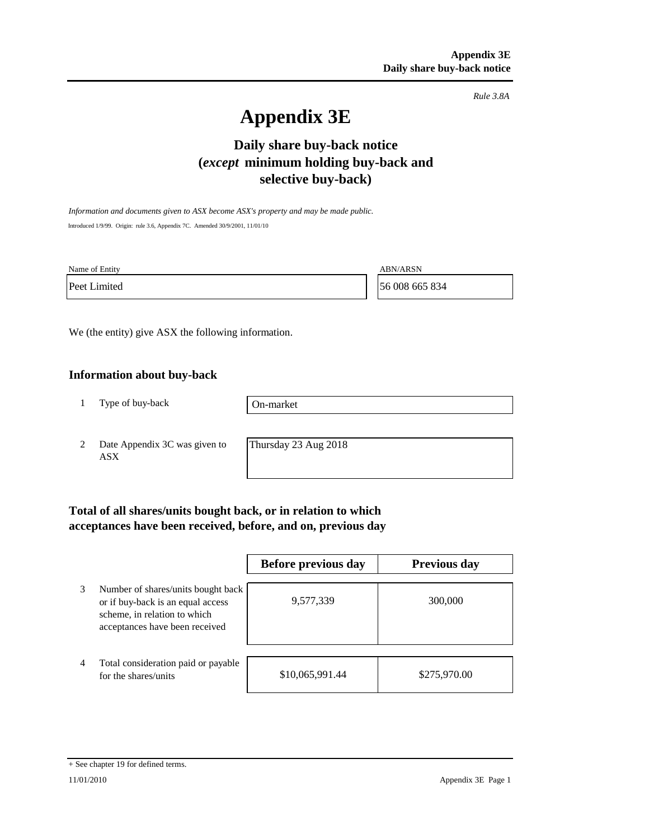*Rule 3.8A*

# **Appendix 3E**

# **Daily share buy-back notice (***except* **minimum holding buy-back and selective buy-back)**

*Information and documents given to ASX become ASX's property and may be made public.* Introduced 1/9/99. Origin: rule 3.6, Appendix 7C. Amended 30/9/2001, 11/01/10

Name of Entity ABN/ARSN

Peet Limited 56 008 665 834

We (the entity) give ASX the following information.

## **Information about buy-back**

1 Type of buy-back

On-market

2 Date Appendix 3C was given to ASX

Thursday 23 Aug 2018

# **Total of all shares/units bought back, or in relation to which acceptances have been received, before, and on, previous day**

|   |                                                                                                                                           | Before previous day | <b>Previous day</b> |
|---|-------------------------------------------------------------------------------------------------------------------------------------------|---------------------|---------------------|
| 3 | Number of shares/units bought back<br>or if buy-back is an equal access<br>scheme, in relation to which<br>acceptances have been received | 9,577,339           | 300,000             |
| 4 | Total consideration paid or payable<br>for the shares/units                                                                               | \$10,065,991.44     | \$275,970.00        |

#### + See chapter 19 for defined terms.